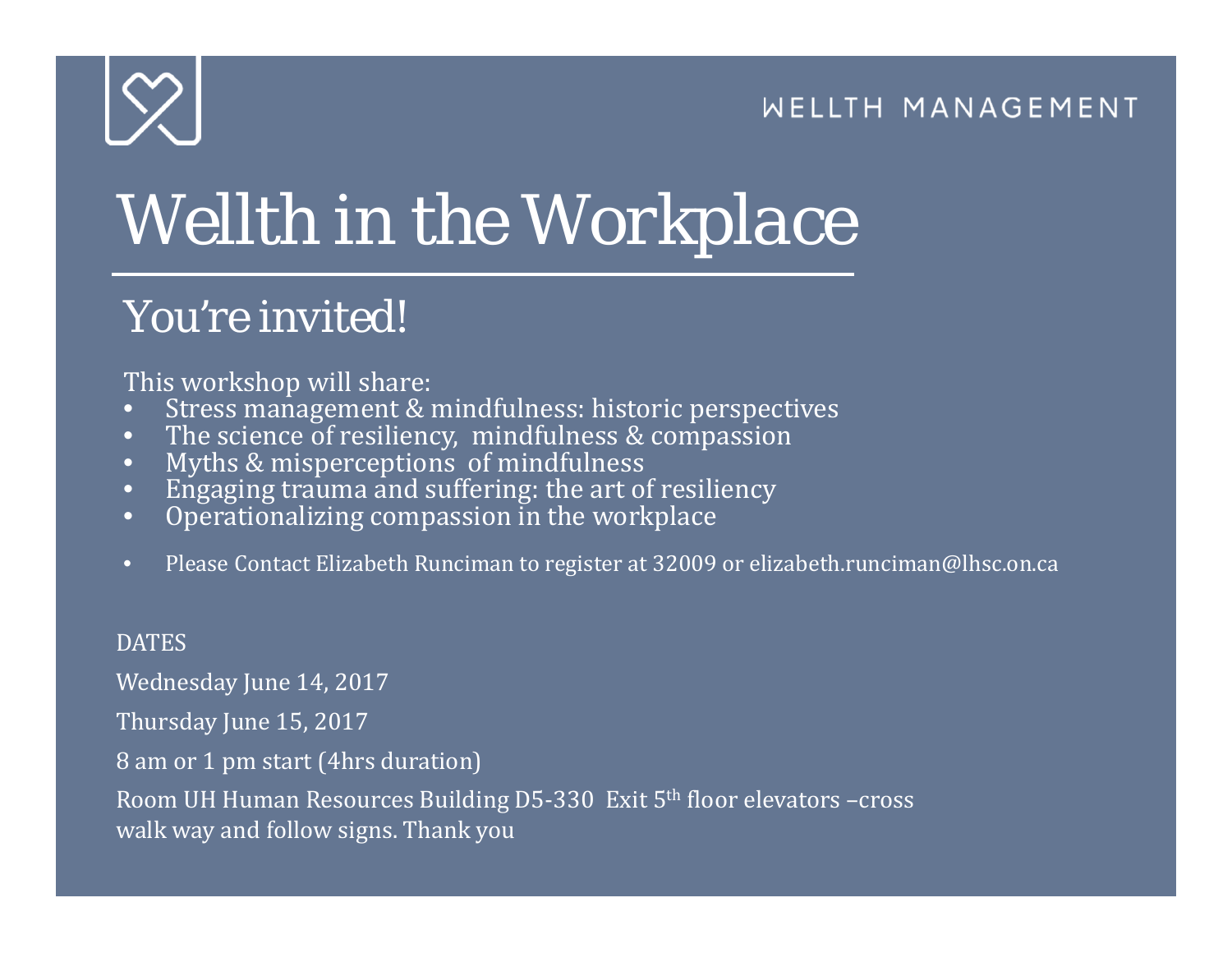#### WELLTH MANAGEMENT



# *Wellth in the Workplace*

### *You're invited!*

This workshop will share:

- •Stress management & mindfulness: historic perspectives
- •The science of resiliency, mindfulness & compassion
- $\bullet$ Myths & misperceptions of mindfulness
- •Engaging trauma and suffering: the art of resiliency
- •Operationalizing compassion in the workplace
- •Please Contact Elizabeth Runciman to register at 32009 or elizabeth.runciman@lhsc.on.ca

#### **DATES**

Wednesday June 14, 2017

Thursday June 15, 2017

8 am or 1 pm start (4hrs duration)

Room UH Human Resources Building D5-330 Exit  $5<sup>th</sup>$  floor elevators –cross walk way and follow signs. Thank you